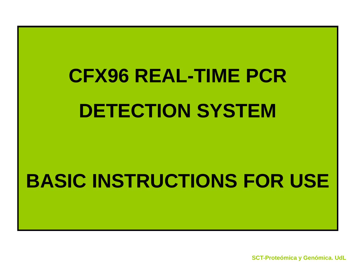# **CFX96 REAL-TIME PCR DETECTION SYSTEM**

# **BASIC INSTRUCTIONS FOR USE**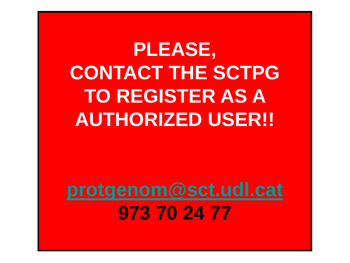**PLEASE, CONTACT THE SCTPG TO REGISTER AS A AUTHORIZED USER!!**

**[protgenom@sct.udl.cat](mailto:protgenom@sct.udl.cat) 973 70 24 77**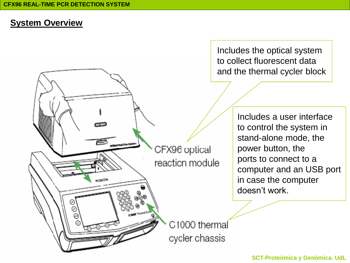فالمتحلف

#### **System Overview**

Includes the optical system to collect fluorescent data and the thermal cycler block

> Includes a user interface to control the system in stand-alone mode, the power button, the ports to connect to a computer and an USB port in case the computer doesn't work.

C1000 thermal cycler chassis

CFX96 optical

reaction module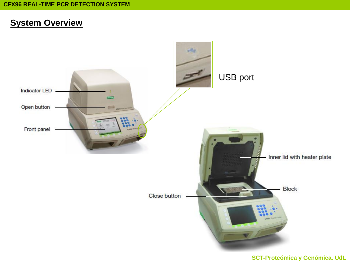#### **System Overview**

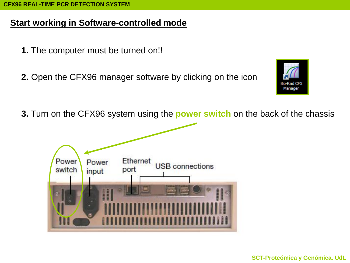### **Start working in Software-controlled mode**

- **1.** The computer must be turned on!!
- **2.** Open the CFX96 manager software by clicking on the icon



**3.** Turn on the CFX96 system using the **power switch** on the back of the chassis

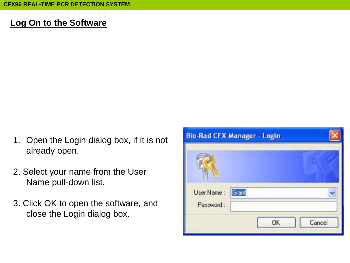## **Log On to the Software**

- 1. Open the Login dialog box, if it is not already open.
- 2. Select your name from the User Name pull-down list.
- 3. Click OK to open the software, and close the Login dialog box.

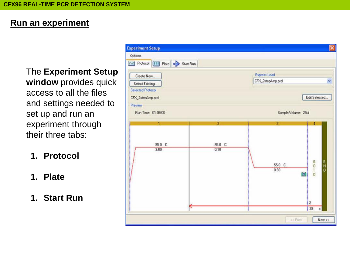### **Run an experiment**

The **Experiment Setup window** provides quick access to all the files and settings needed to set up and run an experiment through their three tabs:

- **1. Protocol**
- **1. Plate**
- **1. Start Run**

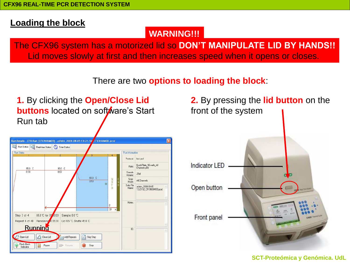#### **Loading the block**

#### **WARNING!!!**

The CFX96 system has a motorized lid so **DON'T MANIPULATE LID BY HANDS!!** Lid moves slowly at first and then increases speed when it opens or closes.

There are two **options to loading the block**:

**1.** By clicking the **Open/Close Lid buttons** located on software's Start Run tab



**2.** By pressing the **lid button** on the front of the system

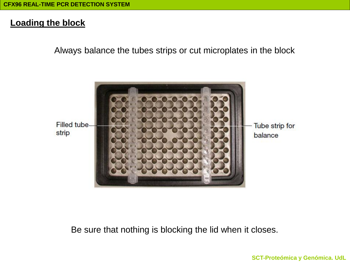#### **Loading the block**

Always balance the tubes strips or cut microplates in the block



Be sure that nothing is blocking the lid when it closes.